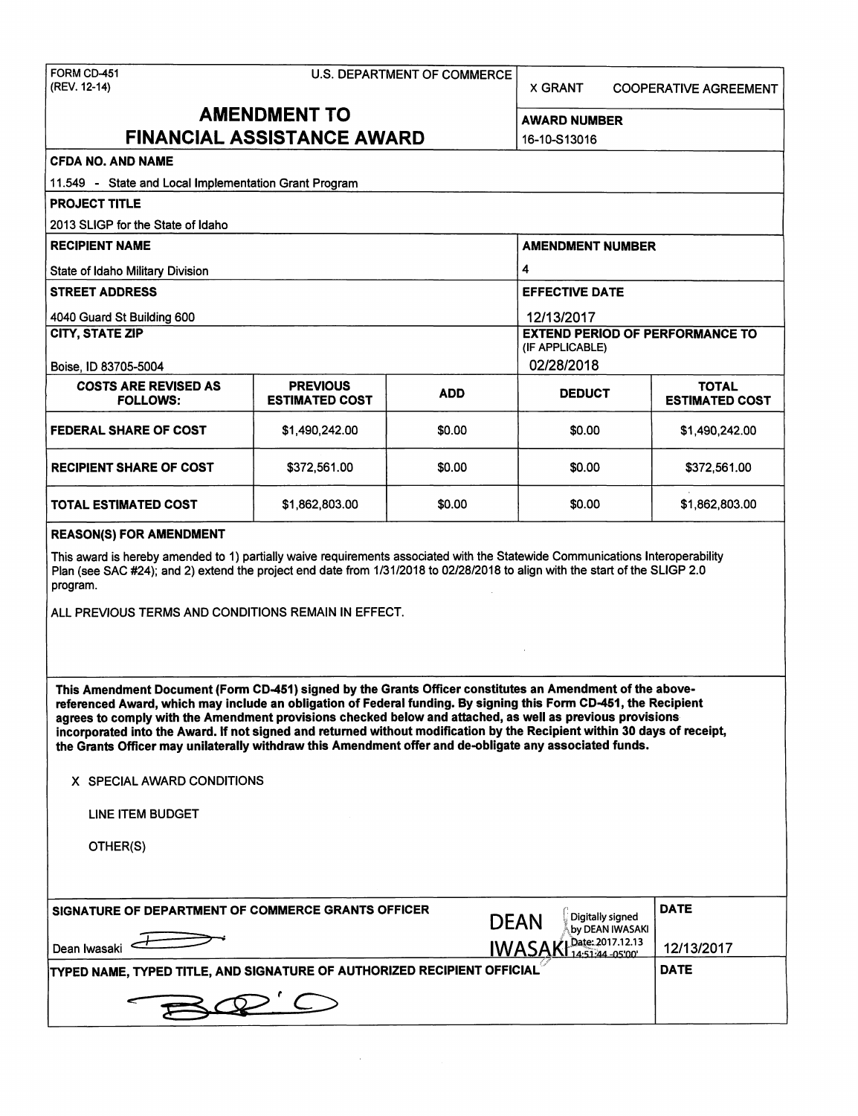|  |  | U.S. DEPARTMENT OF COMMERCE |  |
|--|--|-----------------------------|--|
|--|--|-----------------------------|--|

X GRANT COOPERATIVE AGREEMENT

# **AMENDMENT TO** AWARD NUMBER **FINANCIAL ASSISTANCE AWARD** 16-10-S13016

| 16-10-S1301 |  |  |
|-------------|--|--|
|-------------|--|--|

# **CFDA NO. AND NAME**

| 11.549 - State and Local Implementation Grant Program |                       |                         |                                                           |                       |  |
|-------------------------------------------------------|-----------------------|-------------------------|-----------------------------------------------------------|-----------------------|--|
| <b>PROJECT TITLE</b>                                  |                       |                         |                                                           |                       |  |
| 2013 SLIGP for the State of Idaho                     |                       |                         |                                                           |                       |  |
| <b>RECIPIENT NAME</b>                                 |                       | <b>AMENDMENT NUMBER</b> |                                                           |                       |  |
| State of Idaho Military Division                      | 4                     |                         |                                                           |                       |  |
| <b>STREET ADDRESS</b>                                 |                       |                         | <b>EFFECTIVE DATE</b>                                     |                       |  |
| 4040 Guard St Building 600                            |                       |                         | 12/13/2017                                                |                       |  |
| <b>CITY, STATE ZIP</b>                                |                       |                         | <b>EXTEND PERIOD OF PERFORMANCE TO</b><br>(IF APPLICABLE) |                       |  |
| Boise, ID 83705-5004                                  |                       |                         | 02/28/2018                                                |                       |  |
| <b>COSTS ARE REVISED AS</b><br><b>PREVIOUS</b>        |                       |                         | <b>TOTAL</b>                                              |                       |  |
| <b>FOLLOWS:</b>                                       | <b>ESTIMATED COST</b> | <b>ADD</b>              | <b>DEDUCT</b>                                             | <b>ESTIMATED COST</b> |  |
| <b>FEDERAL SHARE OF COST</b>                          | \$1,490,242.00        | \$0.00                  | \$0.00                                                    | \$1,490,242.00        |  |
| <b>RECIPIENT SHARE OF COST</b>                        | \$372,561.00          | \$0.00                  | \$0.00                                                    | \$372,561.00          |  |
| <b>TOTAL ESTIMATED COST</b>                           | \$1,862,803.00        | \$0.00                  | \$0.00                                                    | \$1,862,803.00        |  |

#### **REASON(\$) FOR AMENDMENT**

This award is hereby amended to 1) partially waive requirements associated with the Statewide Communications Interoperability Plan (see SAC #24); and 2) extend the project end date from 1/31/2018 to 02/28/2018 to align with the start of the SLIGP 2.0 program.

ALL PREVIOUS TERMS AND CONDITIONS REMAIN IN EFFECT.

This Amendment Document (Fonn CD-451) signed by the Grants Officer constitutes an Amendment of the **abovereferenced Award, which may include an obligation of Federal funding. By signing this Fonn CD-451, the Recipient agrees to comply with the Amendment provisions checked below and attached, as well as previous provisions incorporated into the Award. If not signed and returned without modification by the Recipient within 30 days of receipt, the Grants Officer may unilaterally withdraw this Amendment offer and de-obligate any associated funds.** 

#### **X** SPECIAL AWARD CONDITIONS

LINE ITEM BUDGET

OTHER(S)

| SIGNATURE OF DEPARTMENT OF COMMERCE GRANTS OFFICER<br>Dean Iwasaki             | Digitally signed<br><b>DEAN</b><br>by DEAN IWASAKI<br><b>IWASAK</b><br>Date: 2017.12.13<br>14.51.44 - 05'00' | <b>DATE</b><br>12/13/2017 |
|--------------------------------------------------------------------------------|--------------------------------------------------------------------------------------------------------------|---------------------------|
| <b>TYPED NAME, TYPED TITLE, AND SIGNATURE OF AUTHORIZED RECIPIENT OFFICIAL</b> | <b>DATE</b>                                                                                                  |                           |
|                                                                                |                                                                                                              |                           |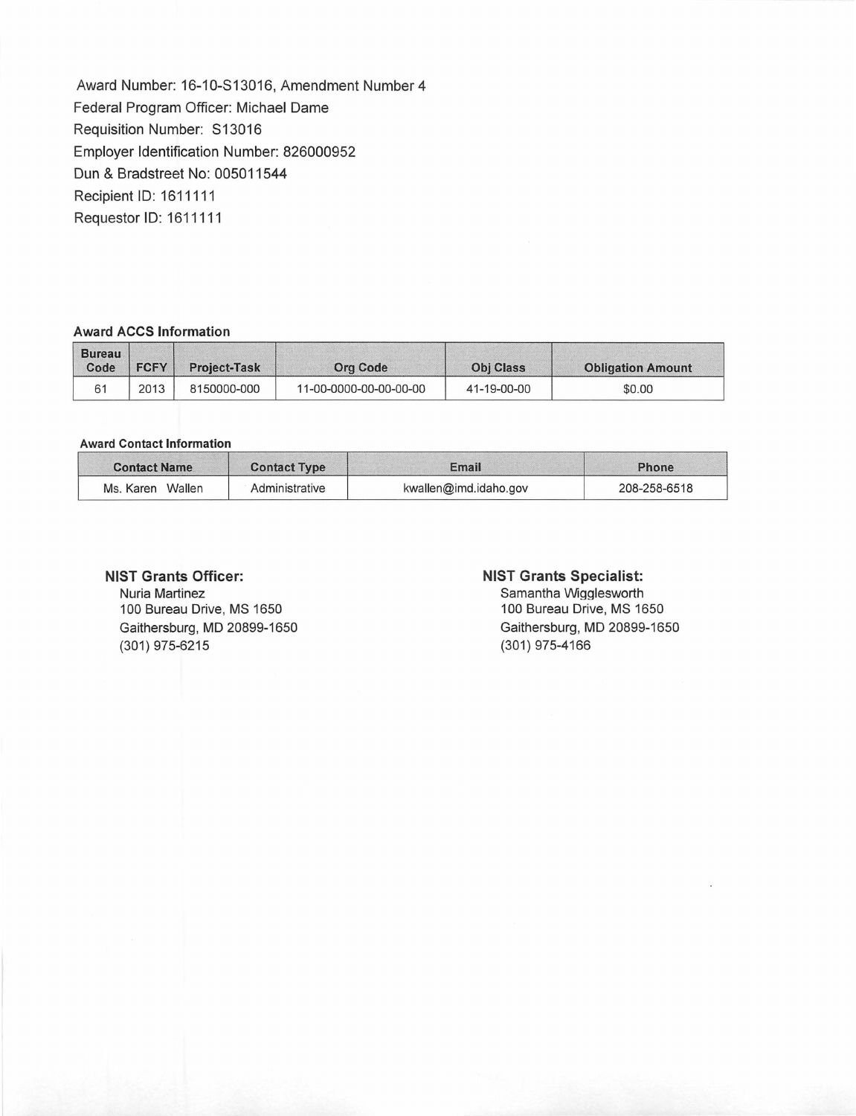Award Number: 16-10-S13016, Amendment Number4 Federal Program Officer: Michael Dame Requisition Number: S13016 Employer Identification Number: 826000952 Dun & Bradstreet No: 005011544 Recipient ID: 1611111 Requestor ID: 1611111

### **Award ACCS Information**

| <b>Bureau</b><br>Code | <b>FCFY</b> | <b>Project-Task</b> | Ora Code               | <b>Obi Class</b> | <b>Obligation Amount</b> |
|-----------------------|-------------|---------------------|------------------------|------------------|--------------------------|
| 61                    | 2013        | 8150000-000         | 11-00-0000-00-00-00-00 | 41-19-00-00      | \$0.00                   |

### **Award Contact Information**

| <b>Contact Name</b> | <b>Contact Type</b> | Email                 | Phone        |  |
|---------------------|---------------------|-----------------------|--------------|--|
| Wallen<br>Ms. Karen | Administrative      | kwallen@imd.idaho.gov | 208-258-6518 |  |

### **NIST Grants Officer:**

Nuria Martinez 100 Bureau Drive, MS 1650 Gaithersburg, MD 20899-1650 (301) 975-6215

### **NIST Grants Specialist:**

Samantha Wigglesworth 100 Bureau Drive, MS 1650 Gaithersburg, MD 20899-1650 (301) 975-4166